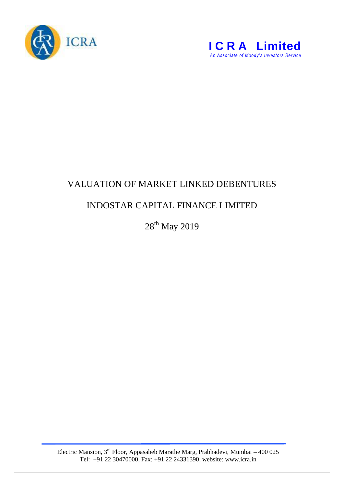



## VALUATION OF MARKET LINKED DEBENTURES

## INDOSTAR CAPITAL FINANCE LIMITED

 $28^{\rm th}$  May 2019

Electric Mansion,  $3<sup>rd</sup>$  Floor, Appasaheb Marathe Marg, Prabhadevi, Mumbai – 400 025 Tel: +91 22 30470000, Fax: +91 22 24331390, website: www.icra.in